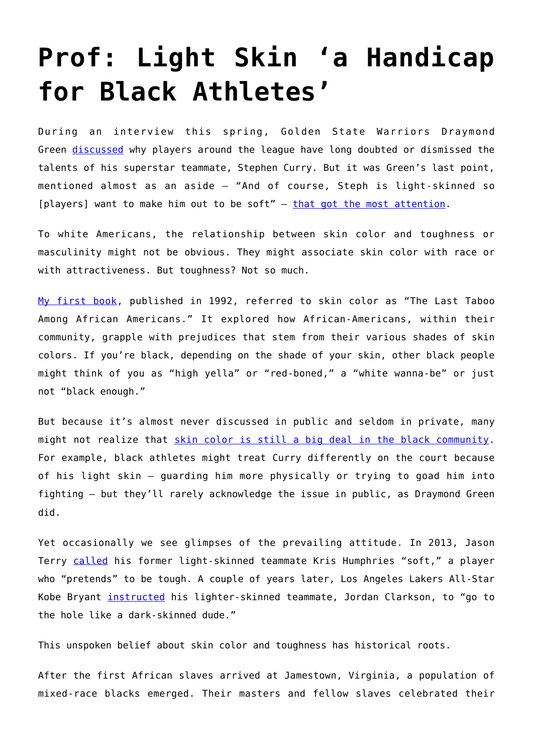## **[Prof: Light Skin 'a Handicap](https://intellectualtakeout.org/2017/06/prof-light-skin-a-handicap-for-black-athletes/) [for Black Athletes'](https://intellectualtakeout.org/2017/06/prof-light-skin-a-handicap-for-black-athletes/)**

During an interview this spring, Golden State Warriors Draymond Green [discussed](http://sports.yahoo.com/news/draymond-green-steph-curry-light-skinned-players-want-make-soft-162527235.html) why players around the league have long doubted or dismissed the talents of his superstar teammate, Stephen Curry. But it was Green's last point, mentioned almost as an aside – "And of course, Steph is light-skinned so [players] want to make him out to be soft"  $-$  [that got the most attention.](http://www.thecoli.com/threads/stephen-a-smith-says-curry-gets-favorable-media-treatment-because-hes-light-skin.532248/)

To white Americans, the relationship between skin color and toughness or masculinity might not be obvious. They might associate skin color with race or with attractiveness. But toughness? Not so much.

[My first book,](https://www.kirkusreviews.com/book-reviews/kathy-midge-wilson-ronald-hall-russell/the-color-complex-the-last-taboo-among-african-/) published in 1992, referred to skin color as "The Last Taboo Among African Americans." It explored how African-Americans, within their community, grapple with prejudices that stem from their various shades of skin colors. If you're black, depending on the shade of your skin, other black people might think of you as "high yella" or "red-boned," a "white wanna-be" or just not "black enough."

But because it's almost never discussed in public and seldom in private, many might not realize that [skin color is still a big deal in the black community](https://theconversation.com/who-counts-as-black-71443). For example, black athletes might treat Curry differently on the court because of his light skin – guarding him more physically or trying to goad him into fighting – but they'll rarely acknowledge the issue in public, as Draymond Green did.

Yet occasionally we see glimpses of the prevailing attitude. In 2013, Jason Terry [called](https://www.youtube.com/watch?v=YmfH3XZ7mT0) his former light-skinned teammate Kris Humphries "soft," a player who "pretends" to be tough. A couple of years later, Los Angeles Lakers All-Star Kobe Bryant *instructed* his lighter-skinned teammate, Jordan Clarkson, to "go to the hole like a dark-skinned dude."

This unspoken belief about skin color and toughness has historical roots.

After the first African slaves arrived at Jamestown, Virginia, a population of mixed-race blacks emerged. Their masters and fellow slaves celebrated their